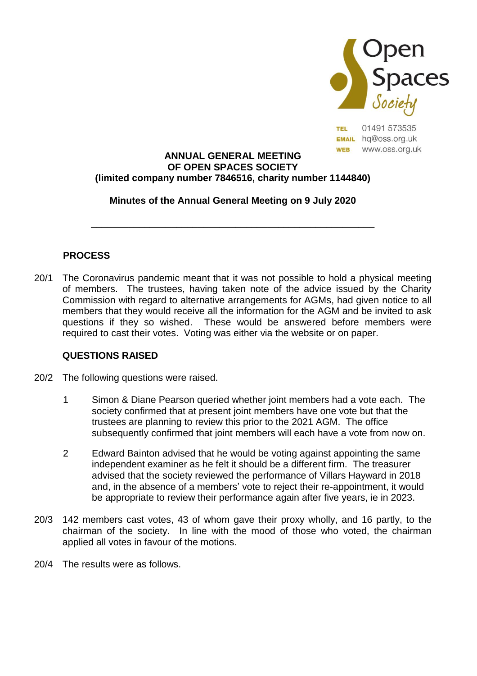

01491 573535 **TEL EMAIL** hq@oss.org.uk www.oss.org.uk **WEB** 

#### **ANNUAL GENERAL MEETING OF OPEN SPACES SOCIETY (limited company number 7846516, charity number 1144840)**

## **Minutes of the Annual General Meeting on 9 July 2020**

\_\_\_\_\_\_\_\_\_\_\_\_\_\_\_\_\_\_\_\_\_\_\_\_\_\_\_\_\_\_\_\_\_\_\_\_\_\_\_\_\_\_\_\_\_\_\_\_\_\_\_\_\_

# **PROCESS**

20/1 The Coronavirus pandemic meant that it was not possible to hold a physical meeting of members. The trustees, having taken note of the advice issued by the Charity Commission with regard to alternative arrangements for AGMs, had given notice to all members that they would receive all the information for the AGM and be invited to ask questions if they so wished. These would be answered before members were required to cast their votes. Voting was either via the website or on paper.

### **QUESTIONS RAISED**

- 20/2 The following questions were raised.
	- 1 Simon & Diane Pearson queried whether joint members had a vote each. The society confirmed that at present joint members have one vote but that the trustees are planning to review this prior to the 2021 AGM. The office subsequently confirmed that joint members will each have a vote from now on.
	- 2 Edward Bainton advised that he would be voting against appointing the same independent examiner as he felt it should be a different firm. The treasurer advised that the society reviewed the performance of Villars Hayward in 2018 and, in the absence of a members' vote to reject their re-appointment, it would be appropriate to review their performance again after five years, ie in 2023.
- 20/3 142 members cast votes, 43 of whom gave their proxy wholly, and 16 partly, to the chairman of the society. In line with the mood of those who voted, the chairman applied all votes in favour of the motions.
- 20/4 The results were as follows.